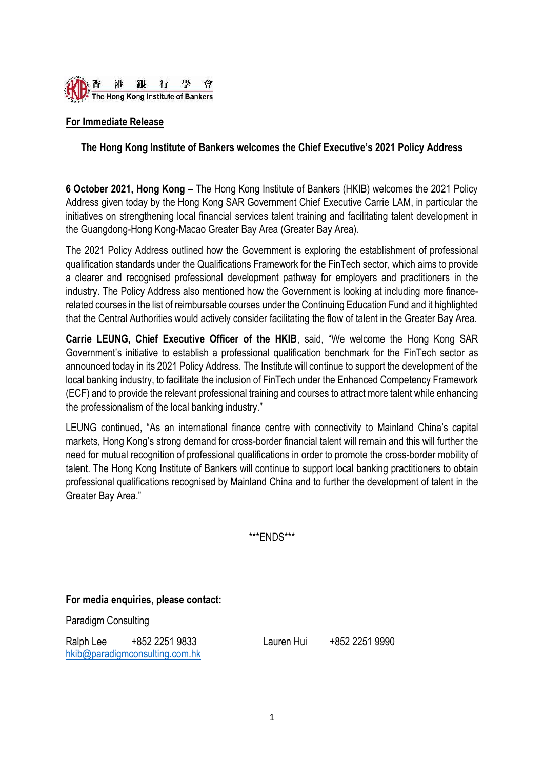

## **For Immediate Release**

## **The Hong Kong Institute of Bankers welcomes the Chief Executive's 2021 Policy Address**

**6 October 2021, Hong Kong** – The Hong Kong Institute of Bankers (HKIB) welcomes the 2021 Policy Address given today by the Hong Kong SAR Government Chief Executive Carrie LAM, in particular the initiatives on strengthening local financial services talent training and facilitating talent development in the Guangdong-Hong Kong-Macao Greater Bay Area (Greater Bay Area).

The 2021 Policy Address outlined how the Government is exploring the establishment of professional qualification standards under the Qualifications Framework for the FinTech sector, which aims to provide a clearer and recognised professional development pathway for employers and practitioners in the industry. The Policy Address also mentioned how the Government is looking at including more financerelated courses in the list of reimbursable courses under the Continuing Education Fund and it highlighted that the Central Authorities would actively consider facilitating the flow of talent in the Greater Bay Area.

**Carrie LEUNG, Chief Executive Officer of the HKIB**, said, "We welcome the Hong Kong SAR Government's initiative to establish a professional qualification benchmark for the FinTech sector as announced today in its 2021 Policy Address. The Institute will continue to support the development of the local banking industry, to facilitate the inclusion of FinTech under the Enhanced Competency Framework (ECF) and to provide the relevant professional training and courses to attract more talent while enhancing the professionalism of the local banking industry."

LEUNG continued, "As an international finance centre with connectivity to Mainland China's capital markets, Hong Kong's strong demand for cross-border financial talent will remain and this will further the need for mutual recognition of professional qualifications in order to promote the cross-border mobility of talent. The Hong Kong Institute of Bankers will continue to support local banking practitioners to obtain professional qualifications recognised by Mainland China and to further the development of talent in the Greater Bay Area."

\*\*\*ENDS\*\*\*

**For media enquiries, please contact:**

Paradigm Consulting

Ralph Lee +852 2251 9833 Lauren Hui +852 2251 9990 [hkib@paradigmconsulting.com.hk](mailto:hkib@paradigmconsulting.com.hk)